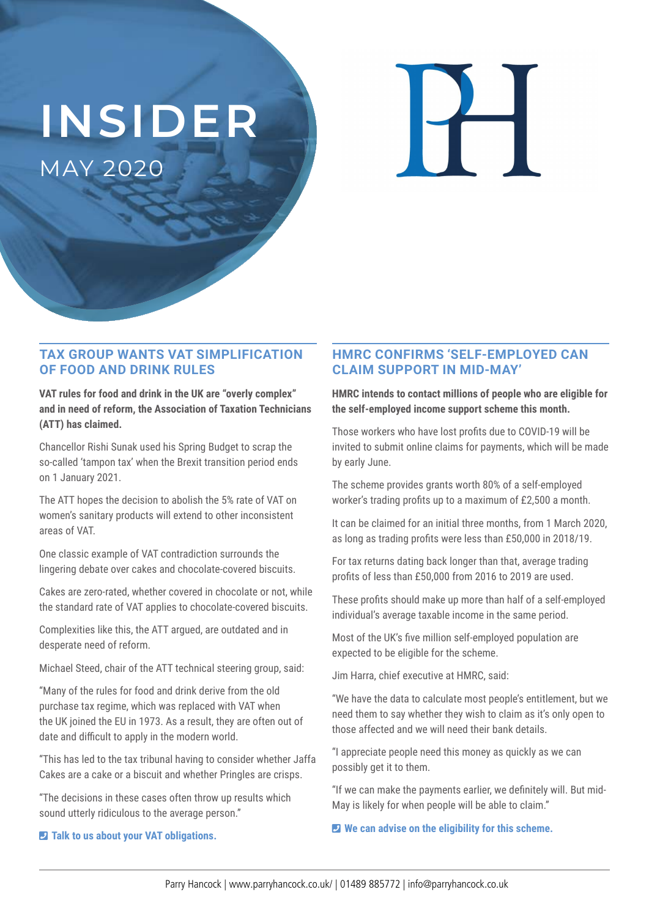# **INSIDER**

MAY 2020

### **TAX GROUP WANTS VAT SIMPLIFICATION OF FOOD AND DRINK RULES**

**VAT rules for food and drink in the UK are "overly complex" and in need of reform, the Association of Taxation Technicians (ATT) has claimed.** 

Chancellor Rishi Sunak used his Spring Budget to scrap the so-called 'tampon tax' when the Brexit transition period ends on 1 January 2021.

The ATT hopes the decision to abolish the 5% rate of VAT on women's sanitary products will extend to other inconsistent areas of VAT.

One classic example of VAT contradiction surrounds the lingering debate over cakes and chocolate-covered biscuits.

Cakes are zero-rated, whether covered in chocolate or not, while the standard rate of VAT applies to chocolate-covered biscuits.

Complexities like this, the ATT argued, are outdated and in desperate need of reform.

Michael Steed, chair of the ATT technical steering group, said:

"Many of the rules for food and drink derive from the old purchase tax regime, which was replaced with VAT when the UK joined the EU in 1973. As a result, they are often out of date and difficult to apply in the modern world.

"This has led to the tax tribunal having to consider whether Jaffa Cakes are a cake or a biscuit and whether Pringles are crisps.

"The decisions in these cases often throw up results which sound utterly ridiculous to the average person."

#### ¶ **Talk to us about your VAT obligations.**

### **HMRC CONFIRMS 'SELF-EMPLOYED CAN CLAIM SUPPORT IN MID-MAY'**

**HMRC intends to contact millions of people who are eligible for the self-employed income support scheme this month.**

Those workers who have lost profits due to COVID-19 will be invited to submit online claims for payments, which will be made by early June.

The scheme provides grants worth 80% of a self-employed worker's trading profits up to a maximum of £2,500 a month.

It can be claimed for an initial three months, from 1 March 2020, as long as trading profits were less than £50,000 in 2018/19.

For tax returns dating back longer than that, average trading profits of less than £50,000 from 2016 to 2019 are used.

These profits should make up more than half of a self-employed individual's average taxable income in the same period.

Most of the UK's five million self-employed population are expected to be eligible for the scheme.

Jim Harra, chief executive at HMRC, said:

"We have the data to calculate most people's entitlement, but we need them to say whether they wish to claim as it's only open to those affected and we will need their bank details.

"I appreciate people need this money as quickly as we can possibly get it to them.

"If we can make the payments earlier, we definitely will. But mid-May is likely for when people will be able to claim."

¶ **We can advise on the eligibility for this scheme.**